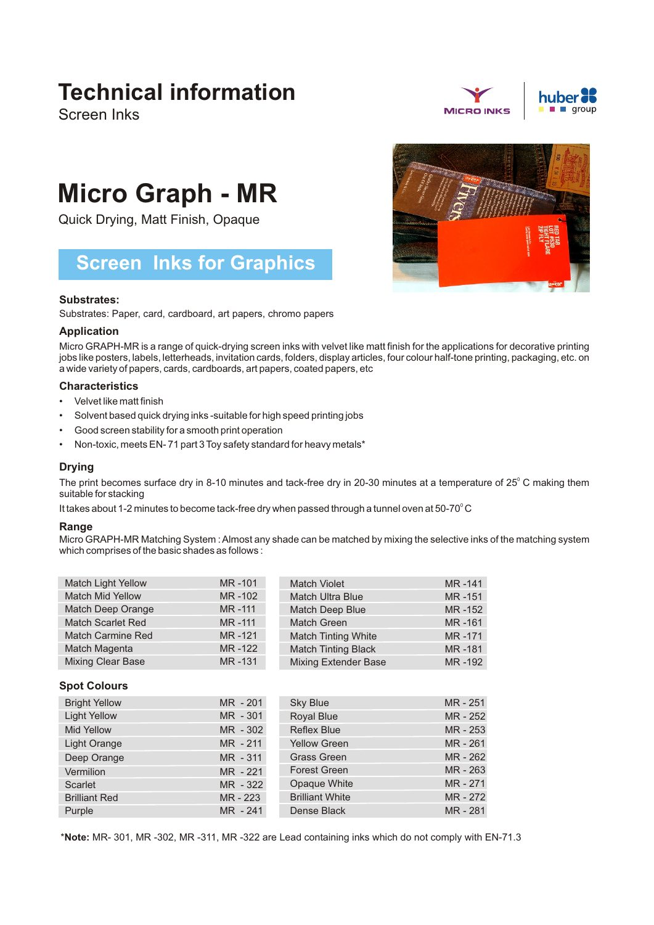## **Technical information**

Screen Inks





# **Micro Graph - MR**

Quick Drying, Matt Finish, Opaque

### **Screen Inks for Graphics**

#### **Substrates:**

Substrates: Paper, card, cardboard, art papers, chromo papers

#### **Application**

Micro GRAPH-MR is a range of quick-drying screen inks with velvet like matt finish for the applications for decorative printing jobs like posters, labels, letterheads, invitation cards, folders, display articles, four colour half-tone printing, packaging, etc. on a wide variety of papers, cards, cardboards, art papers, coated papers, etc

#### **Characteristics**

- Velvet like matt finish •
- Solvent based quick drying inks -suitable for high speed printing jobs •
- Good screen stability for a smooth print operation •
- Non-toxic, meets EN- 71 part 3 Toy safety standard for heavy metals\*

#### **Drying**

The print becomes surface dry in 8-10 minutes and tack-free dry in 20-30 minutes at a temperature of 25 $^{\circ}$ C making them suitable for stacking

It takes about 1-2 minutes to become tack-free dry when passed through a tunnel oven at 50-70°C

#### **Range**

Micro GRAPH-MR Matching System : Almost any shade can be matched by mixing the selective inks of the matching system which comprises of the basic shades as follows :

| <b>Match Light Yellow</b> | MR-101 | <b>Match Violet</b>         | MR-141 |
|---------------------------|--------|-----------------------------|--------|
| <b>Match Mid Yellow</b>   | MR-102 | <b>Match Ultra Blue</b>     | MR-151 |
| Match Deep Orange         | MR-111 | Match Deep Blue             | MR-152 |
| <b>Match Scarlet Red</b>  | MR-111 | Match Green                 | MR-161 |
| <b>Match Carmine Red</b>  | MR-121 | <b>Match Tinting White</b>  | MR-171 |
| Match Magenta             | MR-122 | <b>Match Tinting Black</b>  | MR-181 |
| <b>Mixing Clear Base</b>  | MR-131 | <b>Mixing Extender Base</b> | MR-192 |

#### **Spot Colours**

| <b>Bright Yellow</b> | MR - 201   | <b>Sky Blue</b>        | MR - 251 |
|----------------------|------------|------------------------|----------|
| <b>Light Yellow</b>  | MR - 301   | <b>Royal Blue</b>      | MR - 252 |
| <b>Mid Yellow</b>    | MR - 302   | <b>Reflex Blue</b>     | MR - 253 |
| Light Orange         | $MR - 211$ | <b>Yellow Green</b>    | MR - 261 |
| Deep Orange          | MR - 311   | <b>Grass Green</b>     | MR - 262 |
| Vermilion            | MR - 221   | <b>Forest Green</b>    | MR - 263 |
| Scarlet              | MR - 322   | Opaque White           | MR-271   |
| <b>Brilliant Red</b> | MR - 223   | <b>Brilliant White</b> | MR - 272 |
| Purple               | MR - 241   | Dense Black            | MR-281   |

\***Note:** MR- 301, MR -302, MR -311, MR -322 are Lead containing inks which do not comply with EN-71.3